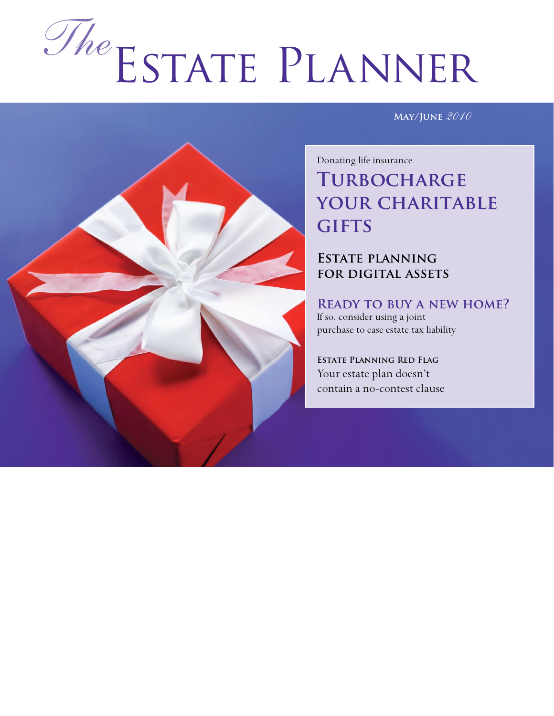# Estate Planner *The*

**May/June** *2010*



## Donating life insurance **Turbocharge your charitable gifts**

#### **Estate planning for digital assets**

**Ready to buy a new home?** If so, consider using a joint purchase to ease estate tax liability

**Estate Planning Red Flag** Your estate plan doesn't contain a no-contest clause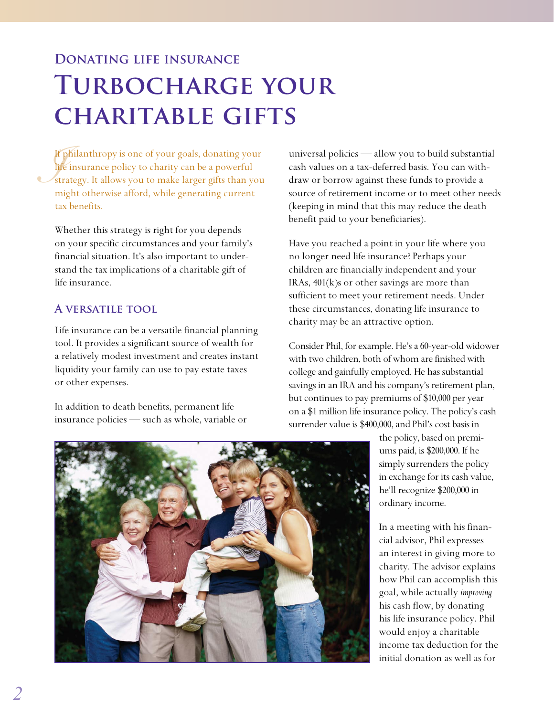## **Donating life insurance Turbocharge your charitable gifts**

*If If If str*<br>*Iff str* If philanthropy is one of your goals, donating your life insurance policy to charity can be a powerful strategy. It allows you to make larger gifts than you might otherwise afford, while generating current tax benefits.

Whether this strategy is right for you depends on your specific circumstances and your family's financial situation. It's also important to understand the tax implications of a charitable gift of life insurance.

#### **A versatile tool**

Life insurance can be a versatile financial planning tool. It provides a significant source of wealth for a relatively modest investment and creates instant liquidity your family can use to pay estate taxes or other expenses.

In addition to death benefits, permanent life insurance policies — such as whole, variable or universal policies — allow you to build substantial cash values on a tax-deferred basis. You can withdraw or borrow against these funds to provide a source of retirement income or to meet other needs (keeping in mind that this may reduce the death benefit paid to your beneficiaries).

Have you reached a point in your life where you no longer need life insurance? Perhaps your children are financially independent and your IRAs, 401(k)s or other savings are more than sufficient to meet your retirement needs. Under these circumstances, donating life insurance to charity may be an attractive option.

Consider Phil, for example. He's a 60-year-old widower with two children, both of whom are finished with college and gainfully employed. He has substantial savings in an IRA and his company's retirement plan, but continues to pay premiums of \$10,000 per year on a \$1 million life insurance policy. The policy's cash surrender value is \$400,000, and Phil's cost basis in

> the policy, based on premiums paid, is \$200,000. If he simply surrenders the policy in exchange for its cash value, he'll recognize \$200,000 in ordinary income.

In a meeting with his financial advisor, Phil expresses an interest in giving more to charity. The advisor explains how Phil can accomplish this goal, while actually *improving* his cash flow, by donating his life insurance policy. Phil would enjoy a charitable income tax deduction for the initial donation as well as for

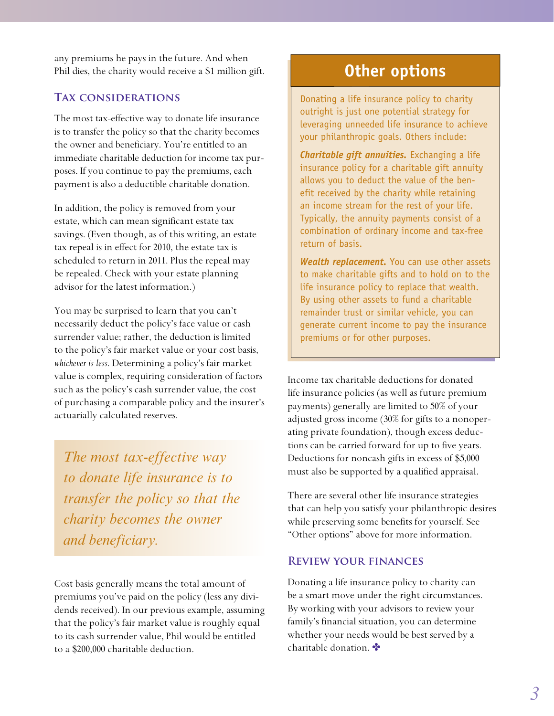any premiums he pays in the future. And when Phil dies, the charity would receive a \$1 million gift.

#### **Tax considerations**

The most tax-effective way to donate life insurance is to transfer the policy so that the charity becomes the owner and beneficiary. You're entitled to an immediate charitable deduction for income tax purposes. If you continue to pay the premiums, each payment is also a deductible charitable donation.

In addition, the policy is removed from your estate, which can mean significant estate tax savings. (Even though, as of this writing, an estate tax repeal is in effect for 2010, the estate tax is scheduled to return in 2011. Plus the repeal may be repealed. Check with your estate planning advisor for the latest information.)

You may be surprised to learn that you can't necessarily deduct the policy's face value or cash surrender value; rather, the deduction is limited to the policy's fair market value or your cost basis, *whichever is less*. Determining a policy's fair market value is complex, requiring consideration of factors such as the policy's cash surrender value, the cost of purchasing a comparable policy and the insurer's actuarially calculated reserves.

*The most tax-effective way to donate life insurance is to transfer the policy so that the charity becomes the owner and beneficiary.*

Cost basis generally means the total amount of premiums you've paid on the policy (less any dividends received). In our previous example, assuming that the policy's fair market value is roughly equal to its cash surrender value, Phil would be entitled to a \$200,000 charitable deduction.

## **Other options**

Donating a life insurance policy to charity outright is just one potential strategy for leveraging unneeded life insurance to achieve your philanthropic goals. Others include:

*Charitable gift annuities.* Exchanging a life insurance policy for a charitable gift annuity allows you to deduct the value of the benefit received by the charity while retaining an income stream for the rest of your life. Typically, the annuity payments consist of a combination of ordinary income and tax-free return of basis.

*Wealth replacement.* You can use other assets to make charitable gifts and to hold on to the life insurance policy to replace that wealth. By using other assets to fund a charitable remainder trust or similar vehicle, you can generate current income to pay the insurance premiums or for other purposes.

Income tax charitable deductions for donated life insurance policies (as well as future premium payments) generally are limited to 50% of your adjusted gross income (30% for gifts to a nonoperating private foundation), though excess deductions can be carried forward for up to five years. Deductions for noncash gifts in excess of \$5,000 must also be supported by a qualified appraisal.

There are several other life insurance strategies that can help you satisfy your philanthropic desires while preserving some benefits for yourself. See "Other options" above for more information.

#### **Review your finances**

Donating a life insurance policy to charity can be a smart move under the right circumstances. By working with your advisors to review your family's financial situation, you can determine whether your needs would be best served by a charitable donation.  $\bullet$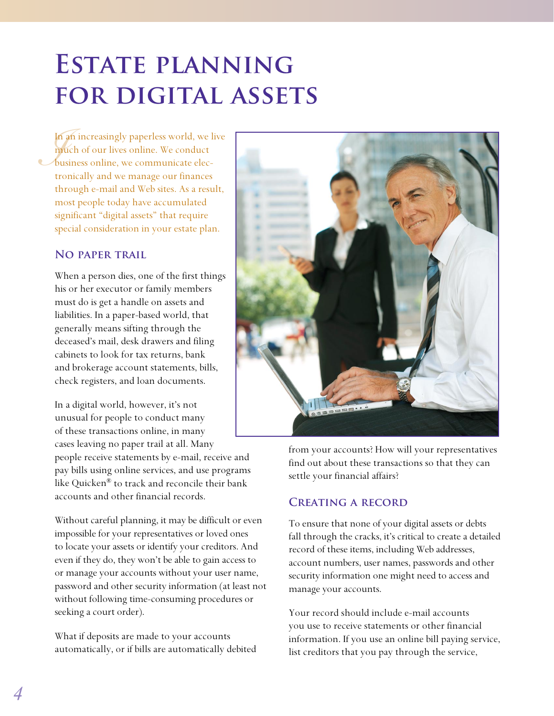# **Estate planning for digital assets**

In<br>*I*<sub>n</sub><br>bu<br>tre In an increasingly paperless world, we live much of our lives online. We conduct business online, we communicate electronically and we manage our finances through e-mail and Web sites. As a result, most people today have accumulated significant "digital assets" that require special consideration in your estate plan.

#### **No paper trail**

When a person dies, one of the first things his or her executor or family members must do is get a handle on assets and liabilities. In a paper-based world, that generally means sifting through the deceased's mail, desk drawers and filing cabinets to look for tax returns, bank and brokerage account statements, bills, check registers, and loan documents.

In a digital world, however, it's not unusual for people to conduct many of these transactions online, in many cases leaving no paper trail at all. Many people receive statements by e-mail, receive and pay bills using online services, and use programs like Quicken® to track and reconcile their bank accounts and other financial records.

Without careful planning, it may be difficult or even impossible for your representatives or loved ones to locate your assets or identify your creditors. And even if they do, they won't be able to gain access to or manage your accounts without your user name, password and other security information (at least not without following time-consuming procedures or seeking a court order).

What if deposits are made to your accounts automatically, or if bills are automatically debited



from your accounts? How will your representatives find out about these transactions so that they can settle your financial affairs?

#### **Creating a record**

To ensure that none of your digital assets or debts fall through the cracks, it's critical to create a detailed record of these items, including Web addresses, account numbers, user names, passwords and other security information one might need to access and manage your accounts.

Your record should include e-mail accounts you use to receive statements or other financial information. If you use an online bill paying service, list creditors that you pay through the service,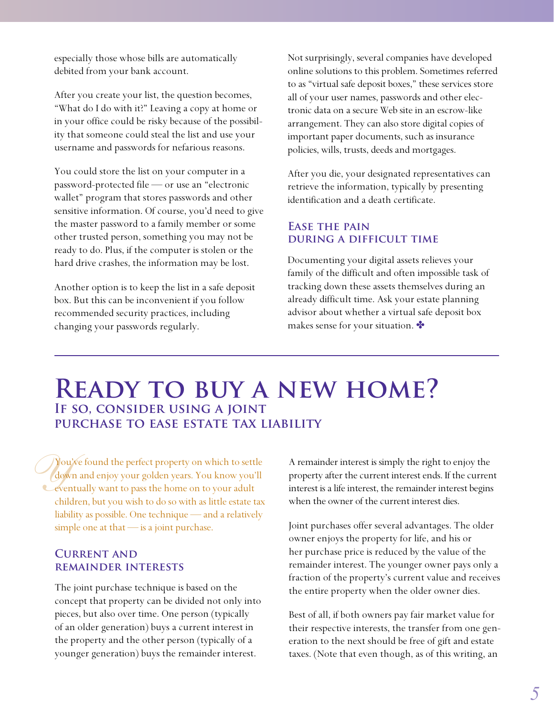especially those whose bills are automatically debited from your bank account.

After you create your list, the question becomes, "What do I do with it?" Leaving a copy at home or in your office could be risky because of the possibility that someone could steal the list and use your username and passwords for nefarious reasons.

You could store the list on your computer in a password-protected file — or use an "electronic wallet" program that stores passwords and other sensitive information. Of course, you'd need to give the master password to a family member or some other trusted person, something you may not be ready to do. Plus, if the computer is stolen or the hard drive crashes, the information may be lost.

Another option is to keep the list in a safe deposit box. But this can be inconvenient if you follow recommended security practices, including changing your passwords regularly.

Not surprisingly, several companies have developed online solutions to this problem. Sometimes referred to as "virtual safe deposit boxes," these services store all of your user names, passwords and other electronic data on a secure Web site in an escrow-like arrangement. They can also store digital copies of important paper documents, such as insurance policies, wills, trusts, deeds and mortgages.

After you die, your designated representatives can retrieve the information, typically by presenting identification and a death certificate.

#### **Ease the pain during a difficult time**

Documenting your digital assets relieves your family of the difficult and often impossible task of tracking down these assets themselves during an already difficult time. Ask your estate planning advisor about whether a virtual safe deposit box makes sense for your situation.

### **Ready to buy a new home? If so, consider using a joint purchase to ease estate tax liability**

*Y* ou You've found the perfect property on which to settle down and enjoy your golden years. You know you'll eventually want to pass the home on to your adult children, but you wish to do so with as little estate tax liability as possible. One technique — and a relatively simple one at that — is a joint purchase.

#### **Current and remainder interests**

The joint purchase technique is based on the concept that property can be divided not only into pieces, but also over time. One person (typically of an older generation) buys a current interest in the property and the other person (typically of a younger generation) buys the remainder interest.

A remainder interest is simply the right to enjoy the property after the current interest ends. If the current interest is a life interest, the remainder interest begins when the owner of the current interest dies.

Joint purchases offer several advantages. The older owner enjoys the property for life, and his or her purchase price is reduced by the value of the remainder interest. The younger owner pays only a fraction of the property's current value and receives the entire property when the older owner dies.

Best of all, if both owners pay fair market value for their respective interests, the transfer from one generation to the next should be free of gift and estate taxes. (Note that even though, as of this writing, an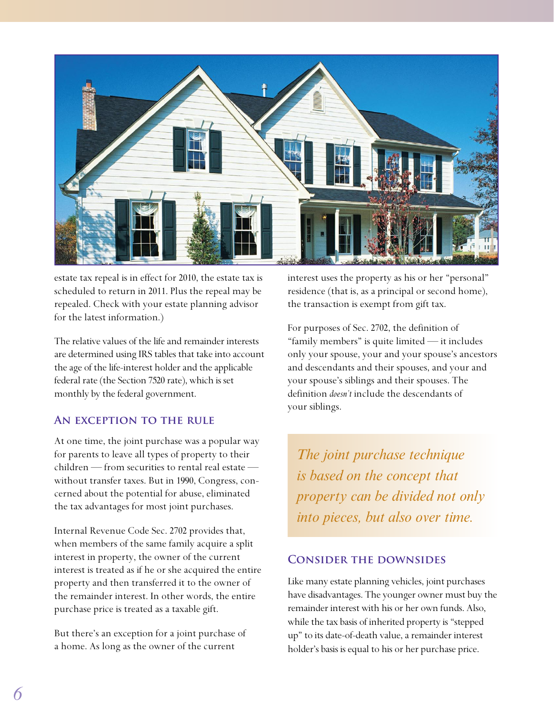

estate tax repeal is in effect for 2010, the estate tax is scheduled to return in 2011. Plus the repeal may be repealed. Check with your estate planning advisor for the latest information.)

The relative values of the life and remainder interests are determined using IRS tables that take into account the age of the life-interest holder and the applicable federal rate (the Section 7520 rate), which is set monthly by the federal government.

#### **An exception to the rule**

At one time, the joint purchase was a popular way for parents to leave all types of property to their children — from securities to rental real estate without transfer taxes. But in 1990, Congress, concerned about the potential for abuse, eliminated the tax advantages for most joint purchases.

Internal Revenue Code Sec. 2702 provides that, when members of the same family acquire a split interest in property, the owner of the current interest is treated as if he or she acquired the entire property and then transferred it to the owner of the remainder interest. In other words, the entire purchase price is treated as a taxable gift.

But there's an exception for a joint purchase of a home. As long as the owner of the current

interest uses the property as his or her "personal" residence (that is, as a principal or second home), the transaction is exempt from gift tax.

For purposes of Sec. 2702, the definition of "family members" is quite limited — it includes only your spouse, your and your spouse's ancestors and descendants and their spouses, and your and your spouse's siblings and their spouses. The definition *doesn't* include the descendants of your siblings.

*The joint purchase technique is based on the concept that property can be divided not only into pieces, but also over time.*

#### **Consider the downsides**

Like many estate planning vehicles, joint purchases have disadvantages. The younger owner must buy the remainder interest with his or her own funds. Also, while the tax basis of inherited property is "stepped up" to its date-of-death value, a remainder interest holder's basis is equal to his or her purchase price.